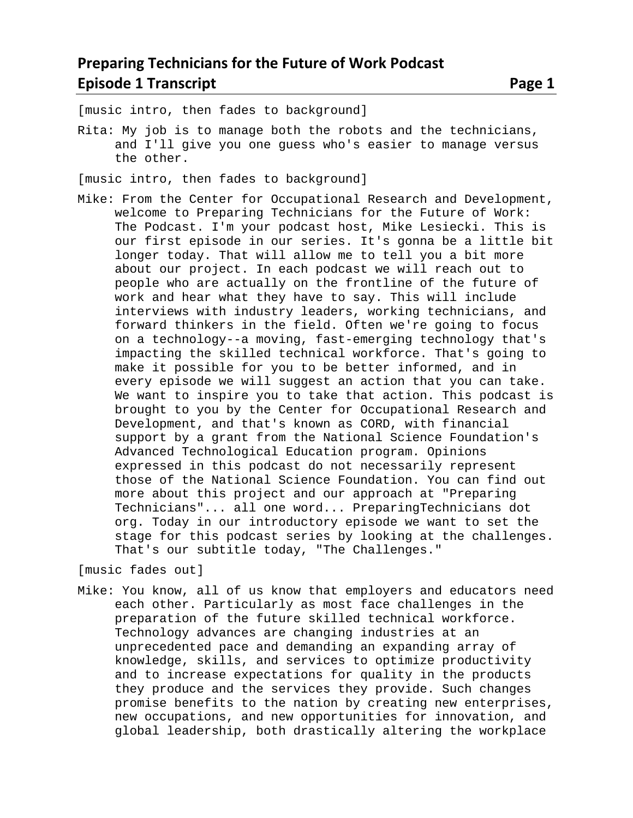[music intro, then fades to background]

Rita: My job is to manage both the robots and the technicians, and I'll give you one guess who's easier to manage versus the other.

[music intro, then fades to background]

Mike: From the Center for Occupational Research and Development, welcome to Preparing Technicians for the Future of Work: The Podcast. I'm your podcast host, Mike Lesiecki. This is our first episode in our series. It's gonna be a little bit longer today. That will allow me to tell you a bit more about our project. In each podcast we will reach out to people who are actually on the frontline of the future of work and hear what they have to say. This will include interviews with industry leaders, working technicians, and forward thinkers in the field. Often we're going to focus on a technology--a moving, fast-emerging technology that's impacting the skilled technical workforce. That's going to make it possible for you to be better informed, and in every episode we will suggest an action that you can take. We want to inspire you to take that action. This podcast is brought to you by the Center for Occupational Research and Development, and that's known as CORD, with financial support by a grant from the National Science Foundation's Advanced Technological Education program. Opinions expressed in this podcast do not necessarily represent those of the National Science Foundation. You can find out more about this project and our approach at "Preparing Technicians"... all one word... PreparingTechnicians dot org. Today in our introductory episode we want to set the stage for this podcast series by looking at the challenges. That's our subtitle today, "The Challenges."

[music fades out]

Mike: You know, all of us know that employers and educators need each other. Particularly as most face challenges in the preparation of the future skilled technical workforce. Technology advances are changing industries at an unprecedented pace and demanding an expanding array of knowledge, skills, and services to optimize productivity and to increase expectations for quality in the products they produce and the services they provide. Such changes promise benefits to the nation by creating new enterprises, new occupations, and new opportunities for innovation, and global leadership, both drastically altering the workplace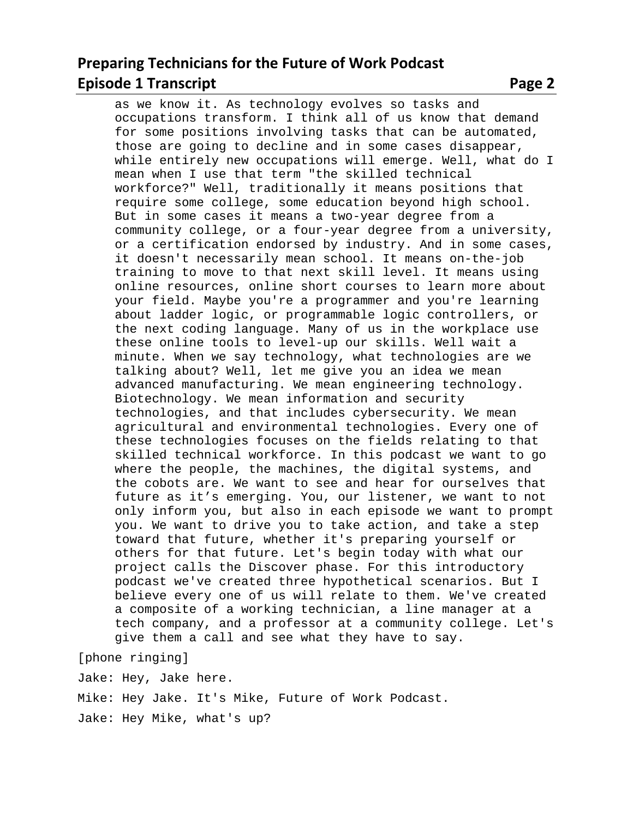## **Preparing Technicians for the Future of Work Podcast Episode 1 Transcript 2 2 Page 2 2 Page 2 Page 2 Page 2 Page 2 Page 2 Page 2 Page 2 Page 2 Page 2 Page 2 Page 2 Page 2 Page 2 Page 2 Page 2 Page 2 Page 2 Page 2 Page 2 Page 2 Page 2 Page 2 Page 2 Page 2 Page 2 Page 2 Page**

as we know it. As technology evolves so tasks and occupations transform. I think all of us know that demand for some positions involving tasks that can be automated, those are going to decline and in some cases disappear, while entirely new occupations will emerge. Well, what do I mean when I use that term "the skilled technical workforce?" Well, traditionally it means positions that require some college, some education beyond high school. But in some cases it means a two-year degree from a community college, or a four-year degree from a university, or a certification endorsed by industry. And in some cases, it doesn't necessarily mean school. It means on-the-job training to move to that next skill level. It means using online resources, online short courses to learn more about your field. Maybe you're a programmer and you're learning about ladder logic, or programmable logic controllers, or the next coding language. Many of us in the workplace use these online tools to level-up our skills. Well wait a minute. When we say technology, what technologies are we talking about? Well, let me give you an idea we mean advanced manufacturing. We mean engineering technology. Biotechnology. We mean information and security technologies, and that includes cybersecurity. We mean agricultural and environmental technologies. Every one of these technologies focuses on the fields relating to that skilled technical workforce. In this podcast we want to go where the people, the machines, the digital systems, and the cobots are. We want to see and hear for ourselves that future as it's emerging. You, our listener, we want to not only inform you, but also in each episode we want to prompt you. We want to drive you to take action, and take a step toward that future, whether it's preparing yourself or others for that future. Let's begin today with what our project calls the Discover phase. For this introductory podcast we've created three hypothetical scenarios. But I believe every one of us will relate to them. We've created a composite of a working technician, a line manager at a

tech company, and a professor at a community college. Let's

[phone ringing]

Jake: Hey, Jake here. Mike: Hey Jake. It's Mike, Future of Work Podcast. Jake: Hey Mike, what's up?

give them a call and see what they have to say.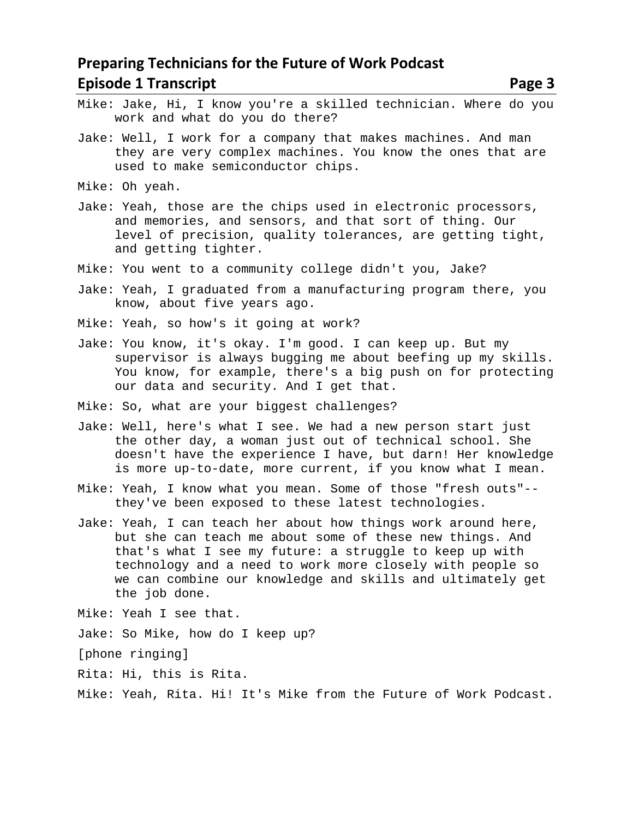- Mike: Jake, Hi, I know you're a skilled technician. Where do you work and what do you do there?
- Jake: Well, I work for a company that makes machines. And man they are very complex machines. You know the ones that are used to make semiconductor chips.
- Mike: Oh yeah.
- Jake: Yeah, those are the chips used in electronic processors, and memories, and sensors, and that sort of thing. Our level of precision, quality tolerances, are getting tight, and getting tighter.
- Mike: You went to a community college didn't you, Jake?
- Jake: Yeah, I graduated from a manufacturing program there, you know, about five years ago.
- Mike: Yeah, so how's it going at work?
- Jake: You know, it's okay. I'm good. I can keep up. But my supervisor is always bugging me about beefing up my skills. You know, for example, there's a big push on for protecting our data and security. And I get that.
- Mike: So, what are your biggest challenges?
- Jake: Well, here's what I see. We had a new person start just the other day, a woman just out of technical school. She doesn't have the experience I have, but darn! Her knowledge is more up-to-date, more current, if you know what I mean.
- Mike: Yeah, I know what you mean. Some of those "fresh outs"- they've been exposed to these latest technologies.
- Jake: Yeah, I can teach her about how things work around here, but she can teach me about some of these new things. And that's what I see my future: a struggle to keep up with technology and a need to work more closely with people so we can combine our knowledge and skills and ultimately get the job done.
- Mike: Yeah I see that.
- Jake: So Mike, how do I keep up?

[phone ringing]

- Rita: Hi, this is Rita.
- Mike: Yeah, Rita. Hi! It's Mike from the Future of Work Podcast.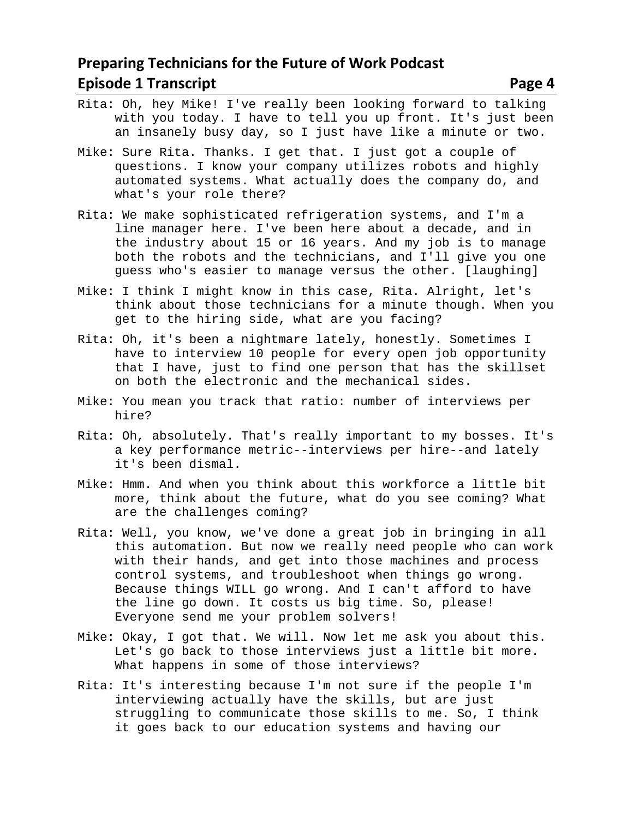- Rita: Oh, hey Mike! I've really been looking forward to talking with you today. I have to tell you up front. It's just been an insanely busy day, so I just have like a minute or two.
- Mike: Sure Rita. Thanks. I get that. I just got a couple of questions. I know your company utilizes robots and highly automated systems. What actually does the company do, and what's your role there?
- Rita: We make sophisticated refrigeration systems, and I'm a line manager here. I've been here about a decade, and in the industry about 15 or 16 years. And my job is to manage both the robots and the technicians, and I'll give you one guess who's easier to manage versus the other. [laughing]
- Mike: I think I might know in this case, Rita. Alright, let's think about those technicians for a minute though. When you get to the hiring side, what are you facing?
- Rita: Oh, it's been a nightmare lately, honestly. Sometimes I have to interview 10 people for every open job opportunity that I have, just to find one person that has the skillset on both the electronic and the mechanical sides.
- Mike: You mean you track that ratio: number of interviews per hire?
- Rita: Oh, absolutely. That's really important to my bosses. It's a key performance metric--interviews per hire--and lately it's been dismal.
- Mike: Hmm. And when you think about this workforce a little bit more, think about the future, what do you see coming? What are the challenges coming?
- Rita: Well, you know, we've done a great job in bringing in all this automation. But now we really need people who can work with their hands, and get into those machines and process control systems, and troubleshoot when things go wrong. Because things WILL go wrong. And I can't afford to have the line go down. It costs us big time. So, please! Everyone send me your problem solvers!
- Mike: Okay, I got that. We will. Now let me ask you about this. Let's go back to those interviews just a little bit more. What happens in some of those interviews?
- Rita: It's interesting because I'm not sure if the people I'm interviewing actually have the skills, but are just struggling to communicate those skills to me. So, I think it goes back to our education systems and having our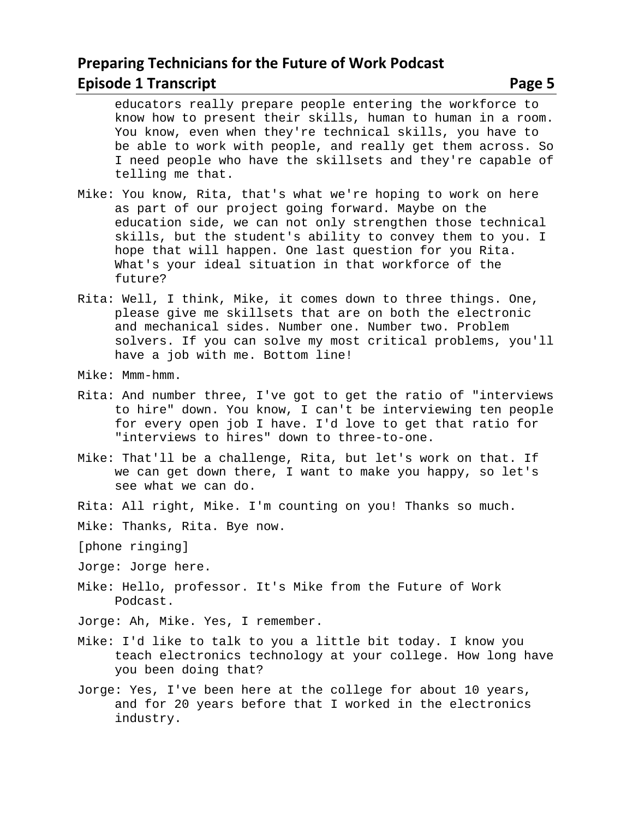educators really prepare people entering the workforce to know how to present their skills, human to human in a room. You know, even when they're technical skills, you have to be able to work with people, and really get them across. So I need people who have the skillsets and they're capable of telling me that.

- Mike: You know, Rita, that's what we're hoping to work on here as part of our project going forward. Maybe on the education side, we can not only strengthen those technical skills, but the student's ability to convey them to you. I hope that will happen. One last question for you Rita. What's your ideal situation in that workforce of the future?
- Rita: Well, I think, Mike, it comes down to three things. One, please give me skillsets that are on both the electronic and mechanical sides. Number one. Number two. Problem solvers. If you can solve my most critical problems, you'll have a job with me. Bottom line!
- Mike: Mmm-hmm.
- Rita: And number three, I've got to get the ratio of "interviews to hire" down. You know, I can't be interviewing ten people for every open job I have. I'd love to get that ratio for "interviews to hires" down to three-to-one.
- Mike: That'll be a challenge, Rita, but let's work on that. If we can get down there, I want to make you happy, so let's see what we can do.
- Rita: All right, Mike. I'm counting on you! Thanks so much.
- Mike: Thanks, Rita. Bye now.
- [phone ringing]
- Jorge: Jorge here.
- Mike: Hello, professor. It's Mike from the Future of Work Podcast.
- Jorge: Ah, Mike. Yes, I remember.
- Mike: I'd like to talk to you a little bit today. I know you teach electronics technology at your college. How long have you been doing that?
- Jorge: Yes, I've been here at the college for about 10 years, and for 20 years before that I worked in the electronics industry.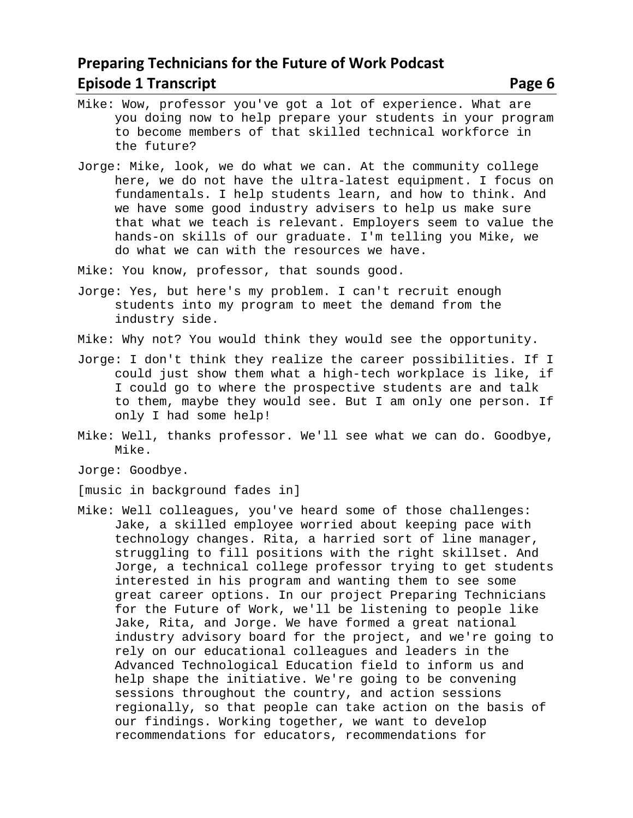- Mike: Wow, professor you've got a lot of experience. What are you doing now to help prepare your students in your program to become members of that skilled technical workforce in the future?
- Jorge: Mike, look, we do what we can. At the community college here, we do not have the ultra-latest equipment. I focus on fundamentals. I help students learn, and how to think. And we have some good industry advisers to help us make sure that what we teach is relevant. Employers seem to value the hands-on skills of our graduate. I'm telling you Mike, we do what we can with the resources we have.

Mike: You know, professor, that sounds good.

- Jorge: Yes, but here's my problem. I can't recruit enough students into my program to meet the demand from the industry side.
- Mike: Why not? You would think they would see the opportunity.
- Jorge: I don't think they realize the career possibilities. If I could just show them what a high-tech workplace is like, if I could go to where the prospective students are and talk to them, maybe they would see. But I am only one person. If only I had some help!
- Mike: Well, thanks professor. We'll see what we can do. Goodbye, Mike.
- Jorge: Goodbye.
- [music in background fades in]
- Mike: Well colleagues, you've heard some of those challenges: Jake, a skilled employee worried about keeping pace with technology changes. Rita, a harried sort of line manager, struggling to fill positions with the right skillset. And Jorge, a technical college professor trying to get students interested in his program and wanting them to see some great career options. In our project Preparing Technicians for the Future of Work, we'll be listening to people like Jake, Rita, and Jorge. We have formed a great national industry advisory board for the project, and we're going to rely on our educational colleagues and leaders in the Advanced Technological Education field to inform us and help shape the initiative. We're going to be convening sessions throughout the country, and action sessions regionally, so that people can take action on the basis of our findings. Working together, we want to develop recommendations for educators, recommendations for